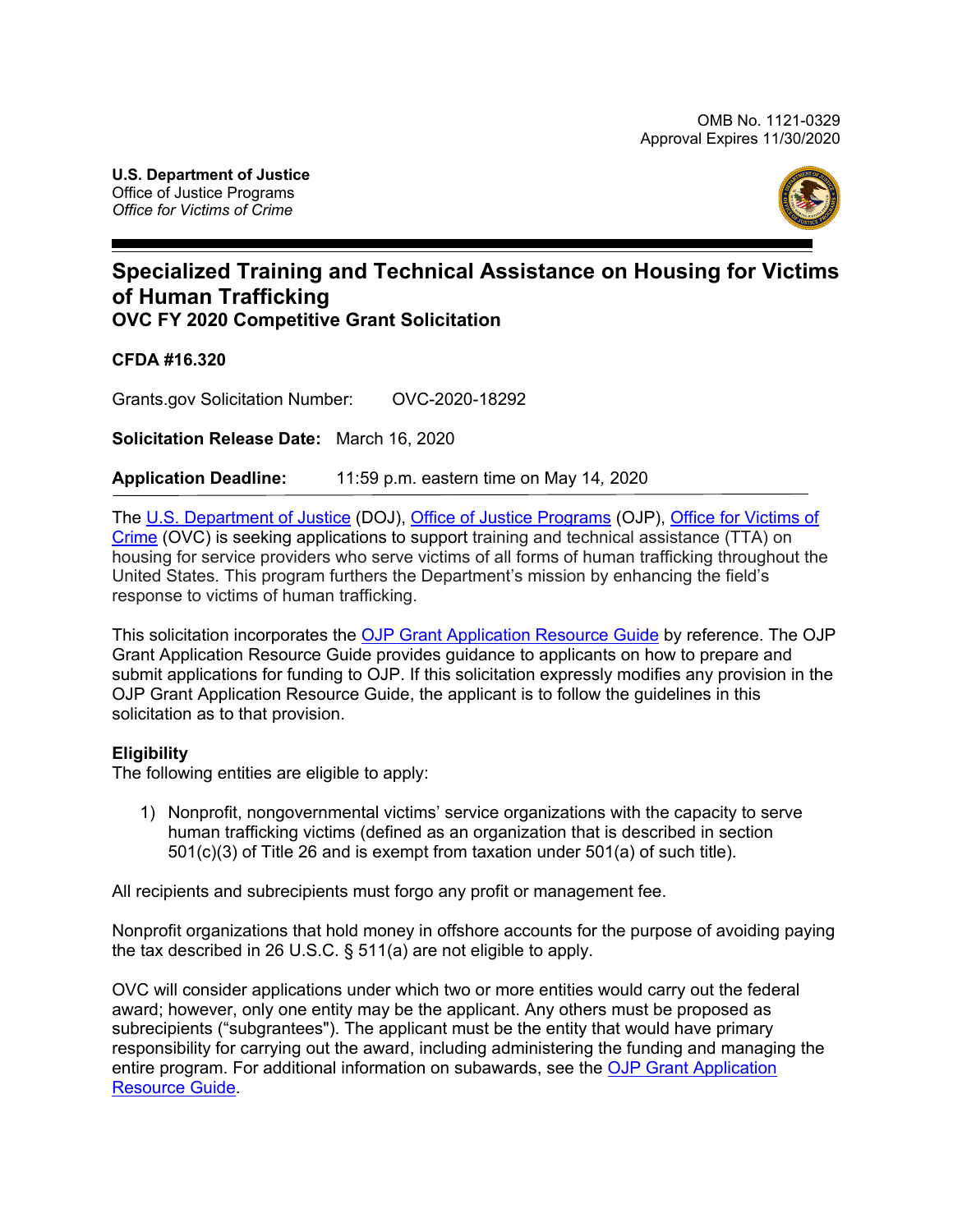

# **Specialized Training and Technical Assistance on Housing for Victims of Human Trafficking OVC FY 2020 Competitive Grant Solicitation**

**CFDA #16.320**

Grants.gov Solicitation Number: OVC-2020-18292

**Solicitation Release Date:** March 16, 2020

**Application Deadline:** 11:59 p.m. eastern time on May 14*,* 2020

The [U.S. Department of Justice](http://www.usdoj.gov/) (DOJ), [Office of Justice Programs](http://www.ojp.gov/) (OJP), [Office for Victims of](http://www.ovc.gov/)  [Crime](http://www.ovc.gov/) (OVC) is seeking applications to support training and technical assistance (TTA) on housing for service providers who serve victims of all forms of human trafficking throughout the United States. This program furthers the Department's mission by enhancing the field's response to victims of human trafficking.

This solicitation incorporates the **OJP Grant Application Resource Guide by reference**. The OJP Grant Application Resource Guide provides guidance to applicants on how to prepare and submit applications for funding to OJP. If this solicitation expressly modifies any provision in the OJP Grant Application Resource Guide, the applicant is to follow the guidelines in this solicitation as to that provision.

### **Eligibility**

The following entities are eligible to apply:

1) Nonprofit, nongovernmental victims' service organizations with the capacity to serve human trafficking victims (defined as an organization that is described in section 501(c)(3) of Title 26 and is exempt from taxation under 501(a) of such title).

All recipients and subrecipients must forgo any profit or management fee.

Nonprofit organizations that hold money in offshore accounts for the purpose of avoiding paying the tax described in 26 U.S.C. § 511(a) are not eligible to apply.

OVC will consider applications under which two or more entities would carry out the federal award; however, only one entity may be the applicant. Any others must be proposed as subrecipients ("subgrantees"). The applicant must be the entity that would have primary responsibility for carrying out the award, including administering the funding and managing the entire program. For additional information on subawards, see the [OJP Grant Application](https://www.ojp.gov/funding/Apply/Resources/Grant-App-Resource-Guide.htm#subawardInfo) [Resource Guide.](https://www.ojp.gov/funding/Apply/Resources/Grant-App-Resource-Guide.htm#subawardInfo)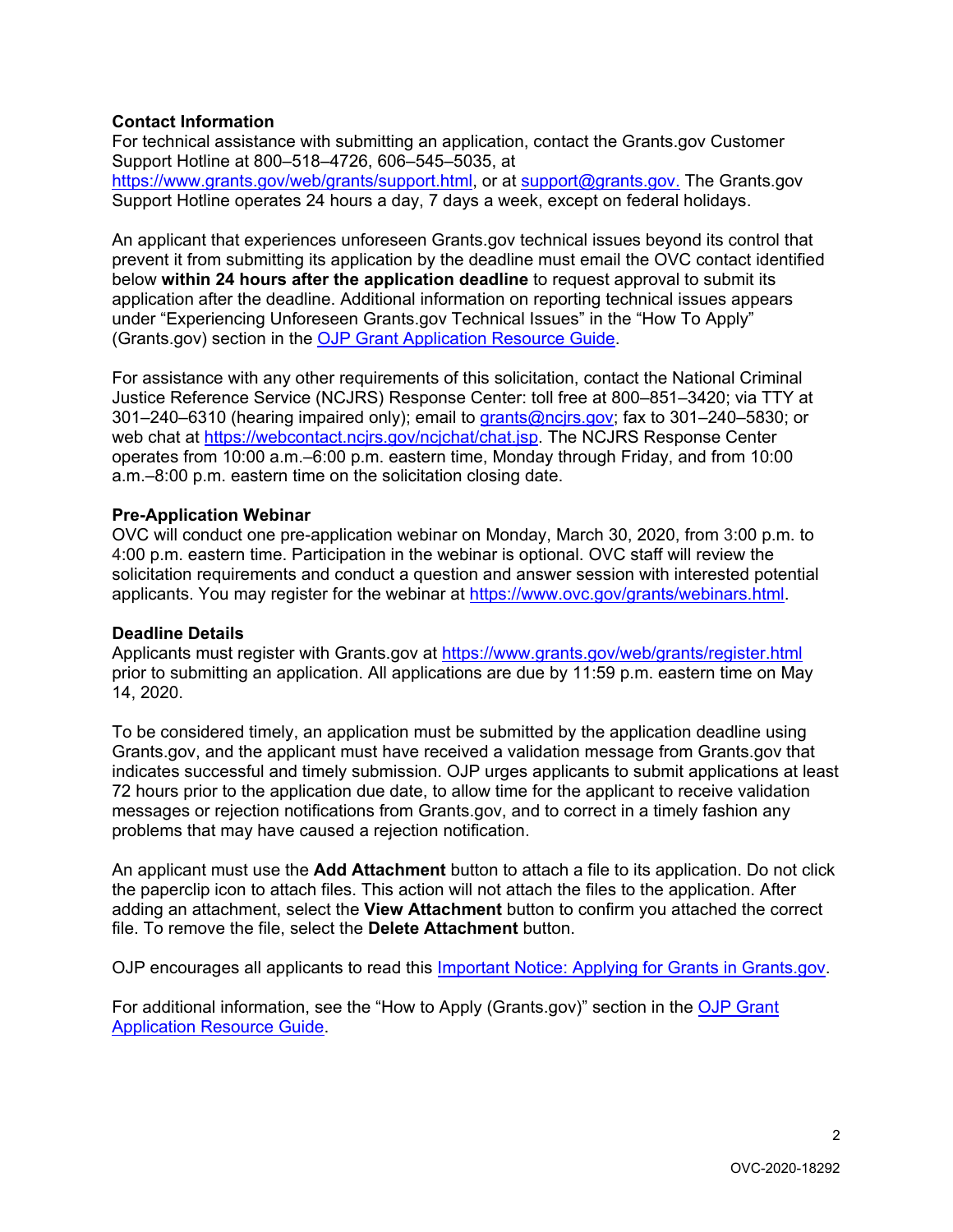# **Contact Information**

For technical assistance with submitting an application, contact the Grants.gov Customer Support Hotline at 800–518–4726, 606–545–5035, at [https://www.grants.gov/web/grants/support.html,](https://www.grants.gov/web/grants/support.html) or at [support@grants.gov.](mailto:support@grants.gov) The Grants.gov Support Hotline operates 24 hours a day, 7 days a week, except on federal holidays.

An applicant that experiences unforeseen Grants.gov technical issues beyond its control that prevent it from submitting its application by the deadline must email the OVC contact identified below **within 24 hours after the application deadline** to request approval to submit its application after the deadline. Additional information on reporting technical issues appears under "Experiencing Unforeseen Grants.gov Technical Issues" in the "How To Apply" (Grants.gov) section in the [OJP Grant Application Resource Guide.](https://www.ojp.gov/funding/Apply/Resources/Grant-App-Resource-Guide.htm#howToApply)

For assistance with any other requirements of this solicitation, contact the National Criminal Justice Reference Service (NCJRS) Response Center: toll free at 800–851–3420; via TTY at 301–240–6310 (hearing impaired only); email to grants@ncjrs.gov; fax to 301–240–5830; or web chat at https://webcontact.ncjrs.gov/ncjchat/chat.jsp. The NCJRS Response Center operates from 10:00 a.m.–6:00 p.m. eastern time, Monday through Friday, and from 10:00 a.m.–8:00 p.m. eastern time on the solicitation closing date.

### **Pre-Application Webinar**

OVC will conduct one pre-application webinar on Monday, March 30, 2020, from 3:00 p.m. to 4:00 p.m. eastern time. Participation in the webinar is optional. OVC staff will review the solicitation requirements and conduct a question and answer session with interested potential applicants. You may register for the webinar at https://www.ovc.gov/grants/webinars.html.

### **Deadline Details**

Applicants must register with Grants.gov at<https://www.grants.gov/web/grants/register.html> prior to submitting an application. All applications are due by 11:59 p.m. eastern time on May 14, 2020.

To be considered timely, an application must be submitted by the application deadline using Grants.gov, and the applicant must have received a validation message from Grants.gov that indicates successful and timely submission. OJP urges applicants to submit applications at least 72 hours prior to the application due date, to allow time for the applicant to receive validation messages or rejection notifications from Grants.gov, and to correct in a timely fashion any problems that may have caused a rejection notification.

An applicant must use the **Add Attachment** button to attach a file to its application. Do not click the paperclip icon to attach files. This action will not attach the files to the application. After adding an attachment, select the **View Attachment** button to confirm you attached the correct file. To remove the file, select the **Delete Attachment** button.

OJP encourages all applicants to read this [Important Notice: Applying for Grants in Grants.gov.](https://ojp.gov/funding/Apply/Grants-govInfo.htm)

For additional information, see the "How to Apply (Grants.gov)" section in the OJP Grant [Application Resource Guide.](https://www.ojp.gov/funding/Apply/Resources/Grant-App-Resource-Guide.htm#howToApply)

 $\mathfrak{p}$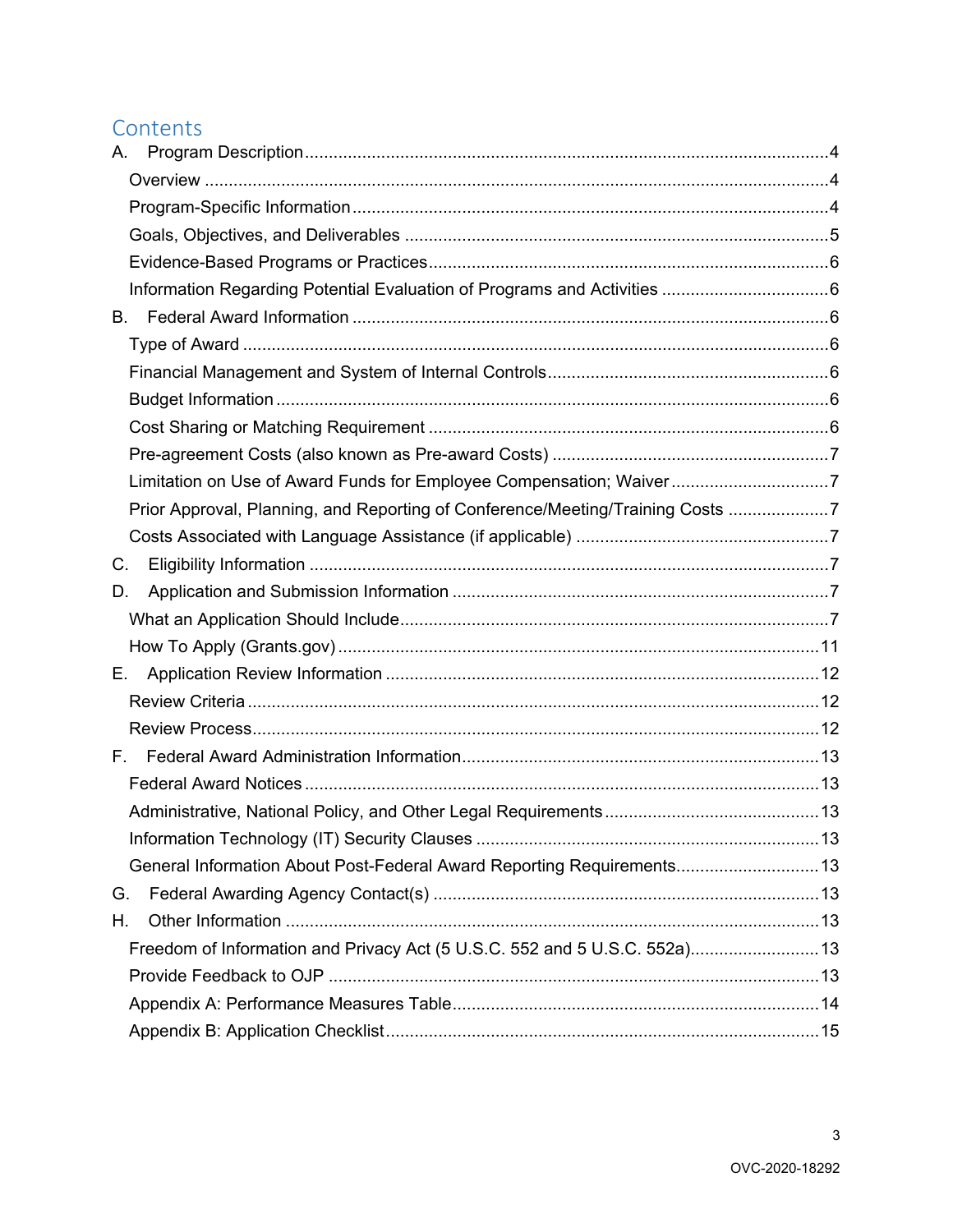# Contents

| А.                                                                             |  |
|--------------------------------------------------------------------------------|--|
|                                                                                |  |
|                                                                                |  |
|                                                                                |  |
|                                                                                |  |
|                                                                                |  |
| В.                                                                             |  |
|                                                                                |  |
|                                                                                |  |
|                                                                                |  |
|                                                                                |  |
|                                                                                |  |
| Limitation on Use of Award Funds for Employee Compensation; Waiver7            |  |
| Prior Approval, Planning, and Reporting of Conference/Meeting/Training Costs 7 |  |
|                                                                                |  |
| C.                                                                             |  |
| D.                                                                             |  |
|                                                                                |  |
|                                                                                |  |
| Е.                                                                             |  |
|                                                                                |  |
|                                                                                |  |
|                                                                                |  |
|                                                                                |  |
|                                                                                |  |
|                                                                                |  |
| General Information About Post-Federal Award Reporting Requirements 13         |  |
| G.                                                                             |  |
| Η.                                                                             |  |
| Freedom of Information and Privacy Act (5 U.S.C. 552 and 5 U.S.C. 552a) 13     |  |
|                                                                                |  |
|                                                                                |  |
|                                                                                |  |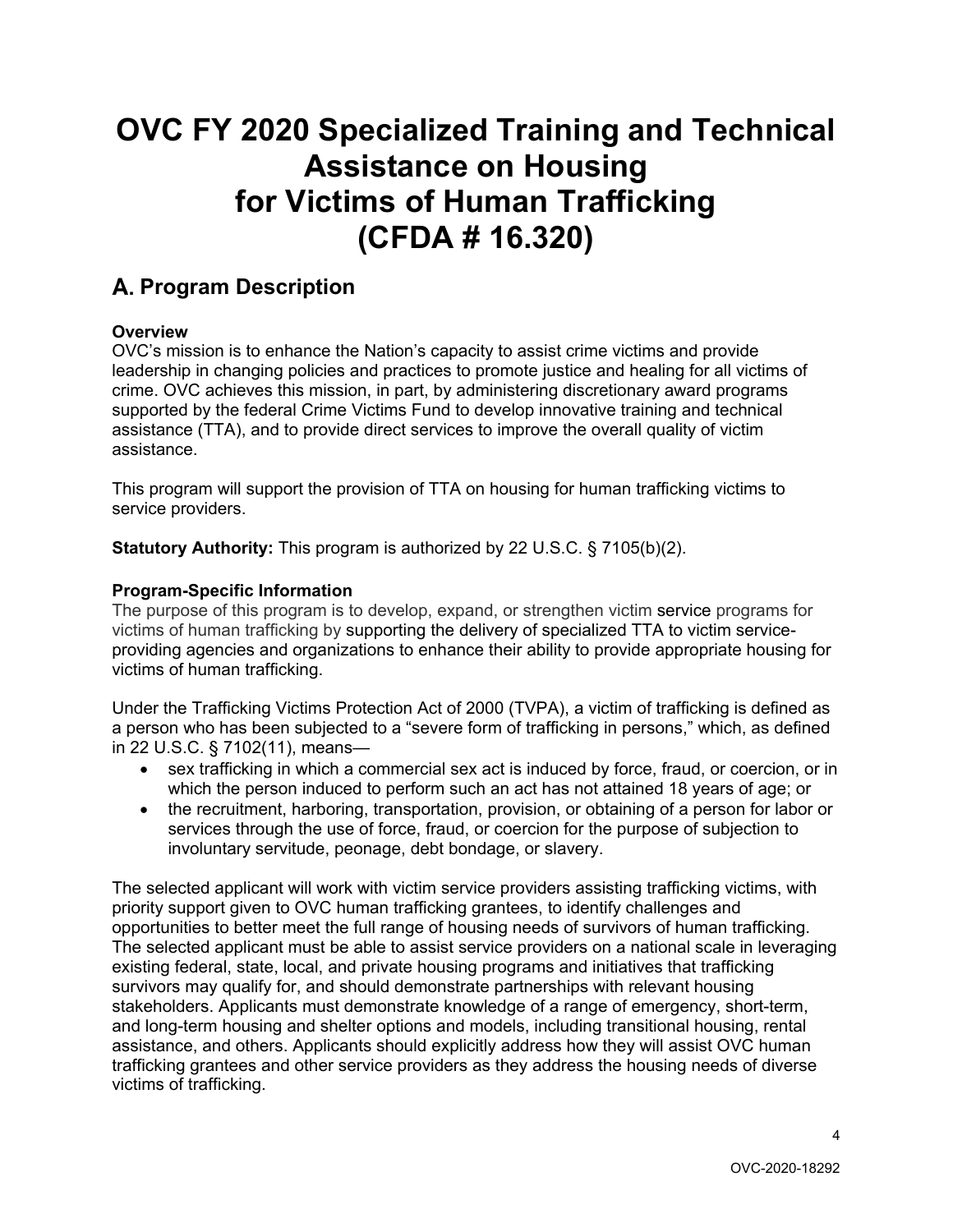# **OVC FY 2020 Specialized Training and Technical Assistance on Housing for Victims of Human Trafficking (CFDA # 16.320)**

# <span id="page-3-0"></span>**Program Description**

# <span id="page-3-1"></span>**Overview**

OVC's mission is to enhance the Nation's capacity to assist crime victims and provide leadership in changing policies and practices to promote justice and healing for all victims of crime. OVC achieves this mission, in part, by administering discretionary award programs supported by the federal Crime Victims Fund to develop innovative training and technical assistance (TTA), and to provide direct services to improve the overall quality of victim assistance.

This program will support the provision of TTA on housing for human trafficking victims to service providers.

**Statutory Authority:** This program is authorized by 22 U.S.C. § 7105(b)(2).

# <span id="page-3-2"></span>**Program-Specific Information**

The purpose of this program is to develop, expand, or strengthen victim service programs for victims of human trafficking by supporting the delivery of specialized TTA to victim serviceproviding agencies and organizations to enhance their ability to provide appropriate housing for victims of human trafficking.

Under the Trafficking Victims Protection Act of 2000 (TVPA), a victim of trafficking is defined as a person who has been subjected to a "severe form of trafficking in persons," which, as defined in 22 U.S.C. § 7102(11), means—

- sex trafficking in which a commercial sex act is induced by force, fraud, or coercion, or in which the person induced to perform such an act has not attained 18 years of age; or
- the recruitment, harboring, transportation, provision, or obtaining of a person for labor or services through the use of force, fraud, or coercion for the purpose of subjection to involuntary servitude, peonage, debt bondage, or slavery.

The selected applicant will work with victim service providers assisting trafficking victims, with priority support given to OVC human trafficking grantees, to identify challenges and opportunities to better meet the full range of housing needs of survivors of human trafficking. The selected applicant must be able to assist service providers on a national scale in leveraging existing federal, state, local, and private housing programs and initiatives that trafficking survivors may qualify for, and should demonstrate partnerships with relevant housing stakeholders. Applicants must demonstrate knowledge of a range of emergency, short-term, and long-term housing and shelter options and models, including transitional housing, rental assistance, and others. Applicants should explicitly address how they will assist OVC human trafficking grantees and other service providers as they address the housing needs of diverse victims of trafficking.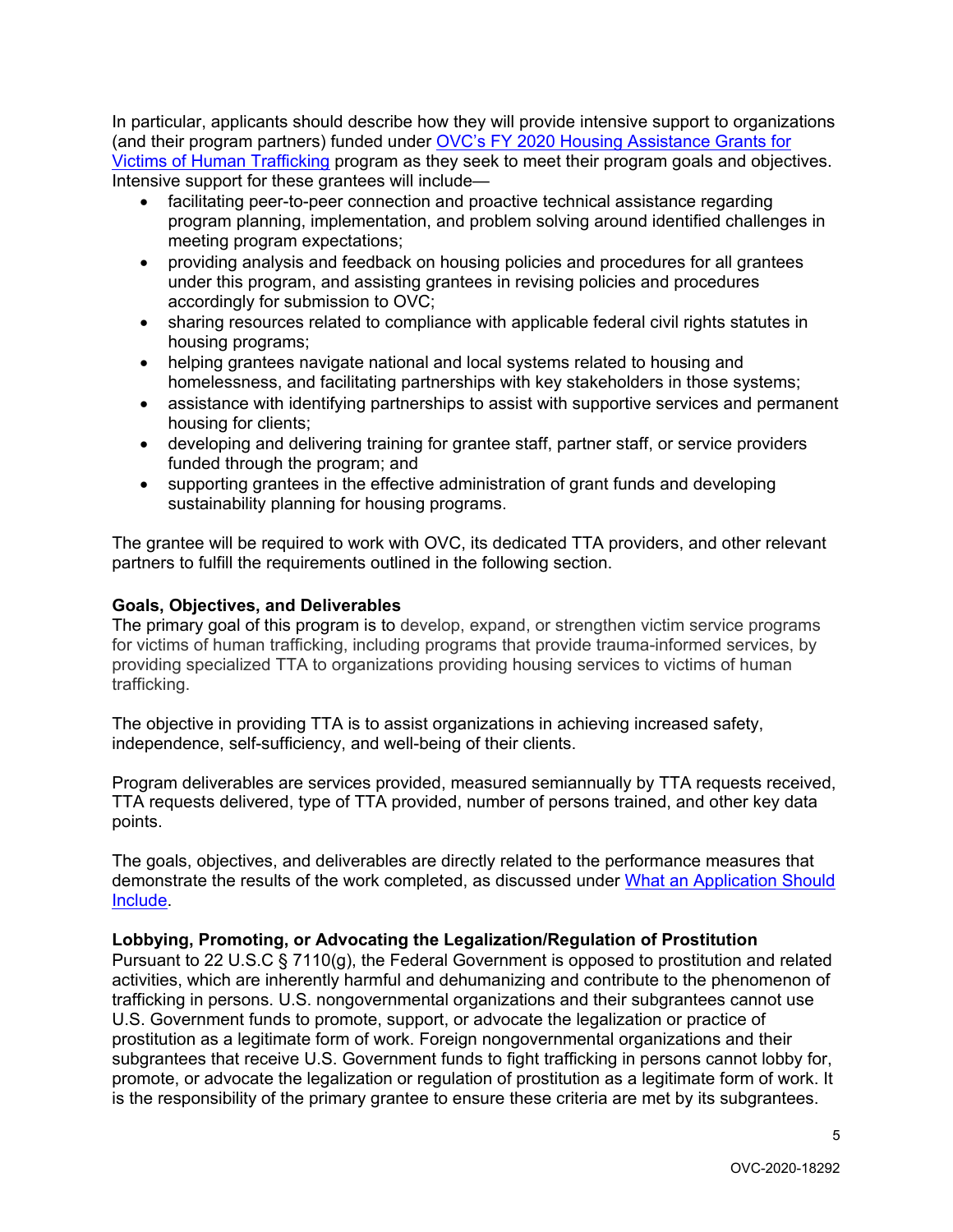In particular, applicants should describe how they will provide intensive support to organizations (and their program partners) funded under [OVC's FY 2020 Housing Assistance Grants for](https://www.ovc.gov/grants/pdftxt/FY-2020-Housing-Assistance-Grants-for-Victims-of-Human-Trafficking.pdf)  [Victims of Human Trafficking](https://www.ovc.gov/grants/pdftxt/FY-2020-Housing-Assistance-Grants-for-Victims-of-Human-Trafficking.pdf) program as they seek to meet their program goals and objectives. Intensive support for these grantees will include—

- facilitating peer-to-peer connection and proactive technical assistance regarding program planning, implementation, and problem solving around identified challenges in meeting program expectations;
- providing analysis and feedback on housing policies and procedures for all grantees under this program, and assisting grantees in revising policies and procedures accordingly for submission to OVC;
- sharing resources related to compliance with applicable federal civil rights statutes in housing programs;
- helping grantees navigate national and local systems related to housing and homelessness, and facilitating partnerships with key stakeholders in those systems;
- assistance with identifying partnerships to assist with supportive services and permanent housing for clients;
- developing and delivering training for grantee staff, partner staff, or service providers funded through the program; and
- supporting grantees in the effective administration of grant funds and developing sustainability planning for housing programs.

The grantee will be required to work with OVC, its dedicated TTA providers, and other relevant partners to fulfill the requirements outlined in the following section.

# <span id="page-4-0"></span>**Goals, Objectives, and Deliverables**

The primary goal of this program is to develop, expand, or strengthen victim service programs for victims of human trafficking, including programs that provide trauma-informed services, by providing specialized TTA to organizations providing housing services to victims of human trafficking.

The objective in providing TTA is to assist organizations in achieving increased safety, independence, self-sufficiency, and well-being of their clients.

Program deliverables are services provided, measured semiannually by TTA requests received, TTA requests delivered, type of TTA provided, number of persons trained, and other key data points.

The goals, objectives, and deliverables are directly related to the performance measures that demonstrate the results of the work completed, as discussed under [What an Application Should](#page-6-6)  [Include.](#page-6-6)

### **Lobbying, Promoting, or Advocating the Legalization/Regulation of Prostitution**

Pursuant to 22 U.S.C § 7110(g), the Federal Government is opposed to prostitution and related activities, which are inherently harmful and dehumanizing and contribute to the phenomenon of trafficking in persons. U.S. nongovernmental organizations and their subgrantees cannot use U.S. Government funds to promote, support, or advocate the legalization or practice of prostitution as a legitimate form of work. Foreign nongovernmental organizations and their subgrantees that receive U.S. Government funds to fight trafficking in persons cannot lobby for, promote, or advocate the legalization or regulation of prostitution as a legitimate form of work. It is the responsibility of the primary grantee to ensure these criteria are met by its subgrantees.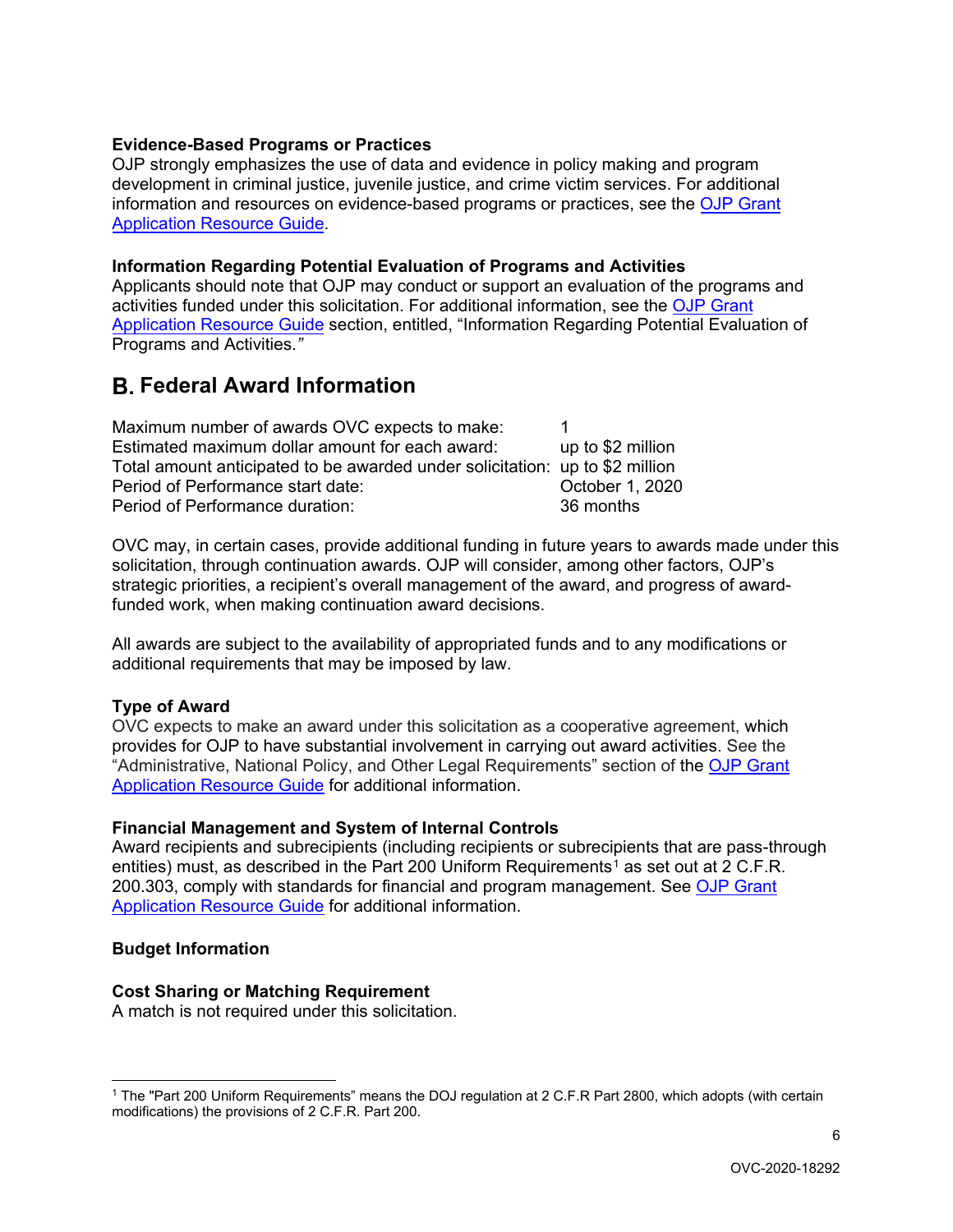### <span id="page-5-0"></span>**Evidence-Based Programs or Practices**

OJP strongly emphasizes the use of data and evidence in policy making and program development in criminal justice, juvenile justice, and crime victim services. For additional information and resources on evidence-based programs or practices, see the [OJP Grant](https://www.ojp.gov/funding/Apply/Resources/Grant-App-Resource-Guide.htm#evidenceBased)  [Application Resource Guide.](https://www.ojp.gov/funding/Apply/Resources/Grant-App-Resource-Guide.htm#evidenceBased)

#### <span id="page-5-1"></span>**Information Regarding Potential Evaluation of Programs and Activities**

Applicants should note that OJP may conduct or support an evaluation of the programs and activities funded under this solicitation. For additional information, see the [OJP Grant](https://www.ojp.gov/funding/Apply/Resources/Grant-App-Resource-Guide.htm#potentialEvaluation) [Application Resource Guide](https://www.ojp.gov/funding/Apply/Resources/Grant-App-Resource-Guide.htm#potentialEvaluation) section, entitled, "Information Regarding Potential Evaluation of Programs and Activities.*"* 

# <span id="page-5-2"></span>**Federal Award Information**

| Maximum number of awards OVC expects to make:                                |                   |
|------------------------------------------------------------------------------|-------------------|
| Estimated maximum dollar amount for each award:                              | up to \$2 million |
| Total amount anticipated to be awarded under solicitation: up to \$2 million |                   |
| Period of Performance start date:                                            | October 1, 2020   |
| Period of Performance duration:                                              | 36 months         |

OVC may, in certain cases, provide additional funding in future years to awards made under this solicitation, through continuation awards. OJP will consider, among other factors, OJP's strategic priorities, a recipient's overall management of the award, and progress of awardfunded work, when making continuation award decisions.

All awards are subject to the availability of appropriated funds and to any modifications or additional requirements that may be imposed by law.

#### <span id="page-5-3"></span>**Type of Award**

OVC expects to make an award under this solicitation as a cooperative agreement, which provides for OJP to have substantial involvement in carrying out award activities. See the "Administrative, National Policy, and Other Legal Requirements" section of the [OJP Grant](https://www.ojp.gov/funding/Apply/Resources/Grant-App-Resource-Guide.htm#otherLegalRequirements)  [Application Resource Guide](https://www.ojp.gov/funding/Apply/Resources/Grant-App-Resource-Guide.htm#otherLegalRequirements) for additional information.

#### <span id="page-5-4"></span>**Financial Management and System of Internal Controls**

Award recipients and subrecipients (including recipients or subrecipients that are pass-through entities) must, as described in the Part 200 Uniform Requirements<sup>[1](#page-5-7)</sup> as set out at 2 C.F.R. 200.303, comply with standards for financial and program management. See [OJP Grant](https://www.ojp.gov/funding/Apply/Resources/Grant-App-Resource-Guide.htm#financialManagement)  [Application Resource Guide](https://www.ojp.gov/funding/Apply/Resources/Grant-App-Resource-Guide.htm#financialManagement) for additional information.

#### <span id="page-5-5"></span>**Budget Information**

#### <span id="page-5-6"></span>**Cost Sharing or Matching Requirement**

A match is not required under this solicitation.

<span id="page-5-7"></span><sup>&</sup>lt;sup>1</sup> The "Part 200 Uniform Requirements" means the DOJ regulation at 2 C.F.R Part 2800, which adopts (with certain modifications) the provisions of 2 C.F.R. Part 200.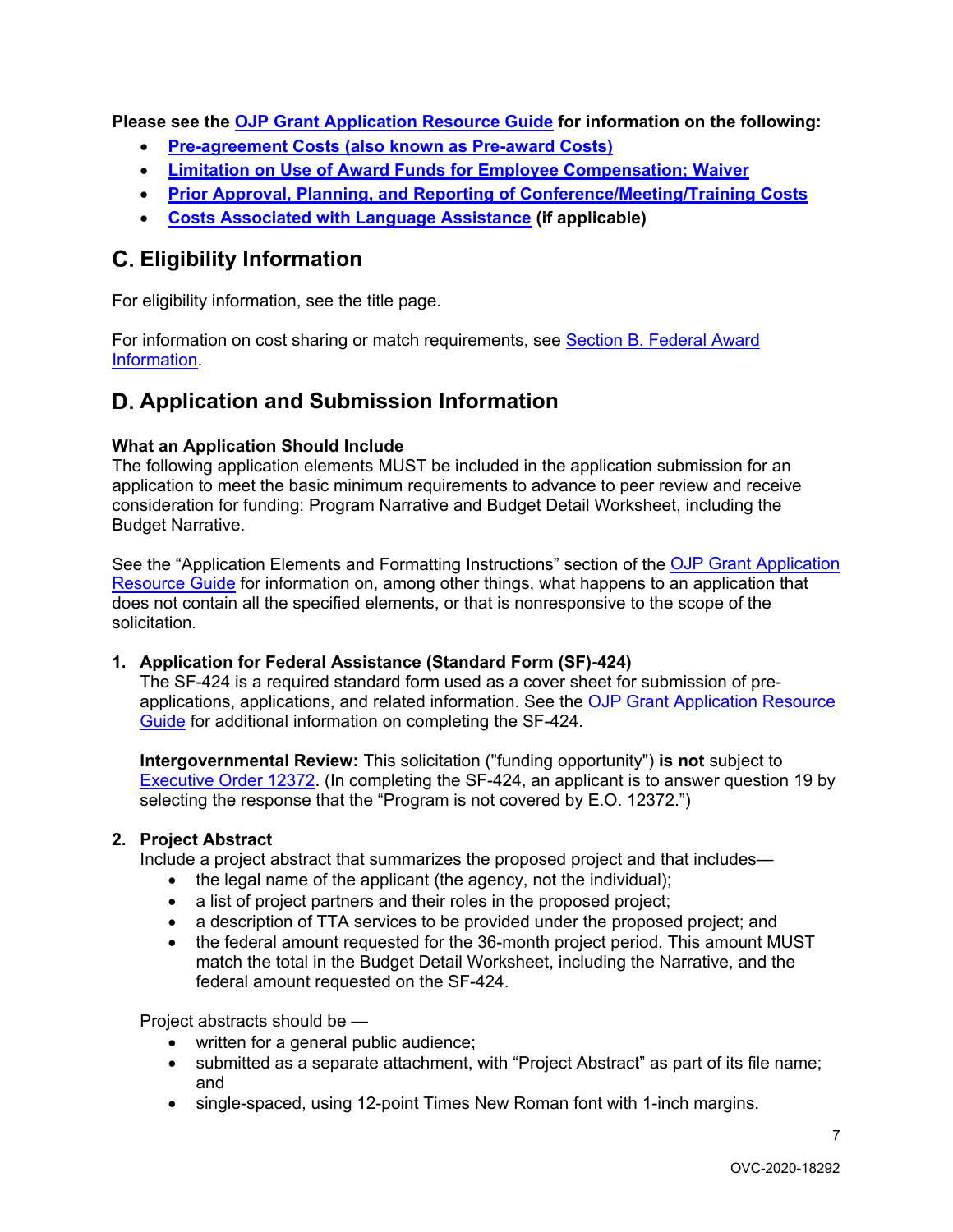**Please see the [OJP Grant Application Resource Guide](https://ojp.gov/funding/Apply/Resources/Grant-App-Resource-Guide.htm) for information on the following:**

- <span id="page-6-0"></span>• **[Pre-agreement Costs \(also known as Pre-award Costs\)](https://www.ojp.gov/funding/Apply/Resources/Grant-App-Resource-Guide.htm#pre-agreement)**
- <span id="page-6-1"></span>• **[Limitation on Use of Award Funds for Employee Compensation; Waiver](https://www.ojp.gov/funding/Apply/Resources/Grant-App-Resource-Guide.htm#UseOfAwardFunds)**
- <span id="page-6-2"></span>• **[Prior Approval, Planning, and Reporting of Conference/Meeting/Training Costs](https://www.ojp.gov/funding/Apply/Resources/Grant-App-Resource-Guide.htm#reportingCosts)**
- <span id="page-6-3"></span>• **[Costs Associated with Language Assistance](https://www.ojp.gov/funding/Apply/Resources/Grant-App-Resource-Guide.htm#languageAssistance) (if applicable)**

# <span id="page-6-4"></span>**Eligibility Information**

For eligibility information, see the title page.

For information on cost sharing or match requirements, see [Section B. Federal Award](#page-5-6)  [Information.](#page-5-6)

# <span id="page-6-5"></span>**Application and Submission Information**

# <span id="page-6-6"></span>**What an Application Should Include**

The following application elements MUST be included in the application submission for an application to meet the basic minimum requirements to advance to peer review and receive consideration for funding: Program Narrative and Budget Detail Worksheet, including the Budget Narrative.

See the "Application Elements and Formatting Instructions" section of the OJP Grant Application [Resource Guide](https://www.ojp.gov/funding/Apply/Resources/Grant-App-Resource-Guide.htm#formatInstructions) for information on, among other things, what happens to an application that does not contain all the specified elements, or that is nonresponsive to the scope of the solicitation*.*

### **1. Application for Federal Assistance (Standard Form (SF)-424)**

The SF-424 is a required standard form used as a cover sheet for submission of preapplications, applications, and related information. See the [OJP Grant Application Resource](https://www.ojp.gov/funding/Apply/Resources/Grant-App-Resource-Guide.htm#completeApplication)  [Guide](https://www.ojp.gov/funding/Apply/Resources/Grant-App-Resource-Guide.htm#completeApplication) for additional information on completing the SF-424.

**Intergovernmental Review:** This solicitation ("funding opportunity") **is not** subject to [Executive Order 12372.](https://www.archives.gov/federal-register/codification/executive-order/12372.html) (In completing the SF-424, an applicant is to answer question 19 by selecting the response that the "Program is not covered by E.O. 12372.")

### **2. Project Abstract**

Include a project abstract that summarizes the proposed project and that includes—

- the legal name of the applicant (the agency, not the individual);
- a list of project partners and their roles in the proposed project;
- a description of TTA services to be provided under the proposed project; and
- the federal amount requested for the 36-month project period. This amount MUST match the total in the Budget Detail Worksheet, including the Narrative, and the federal amount requested on the SF-424.

Project abstracts should be —

- written for a general public audience;
- submitted as a separate attachment, with "Project Abstract" as part of its file name; and
- single-spaced, using 12-point Times New Roman font with 1-inch margins.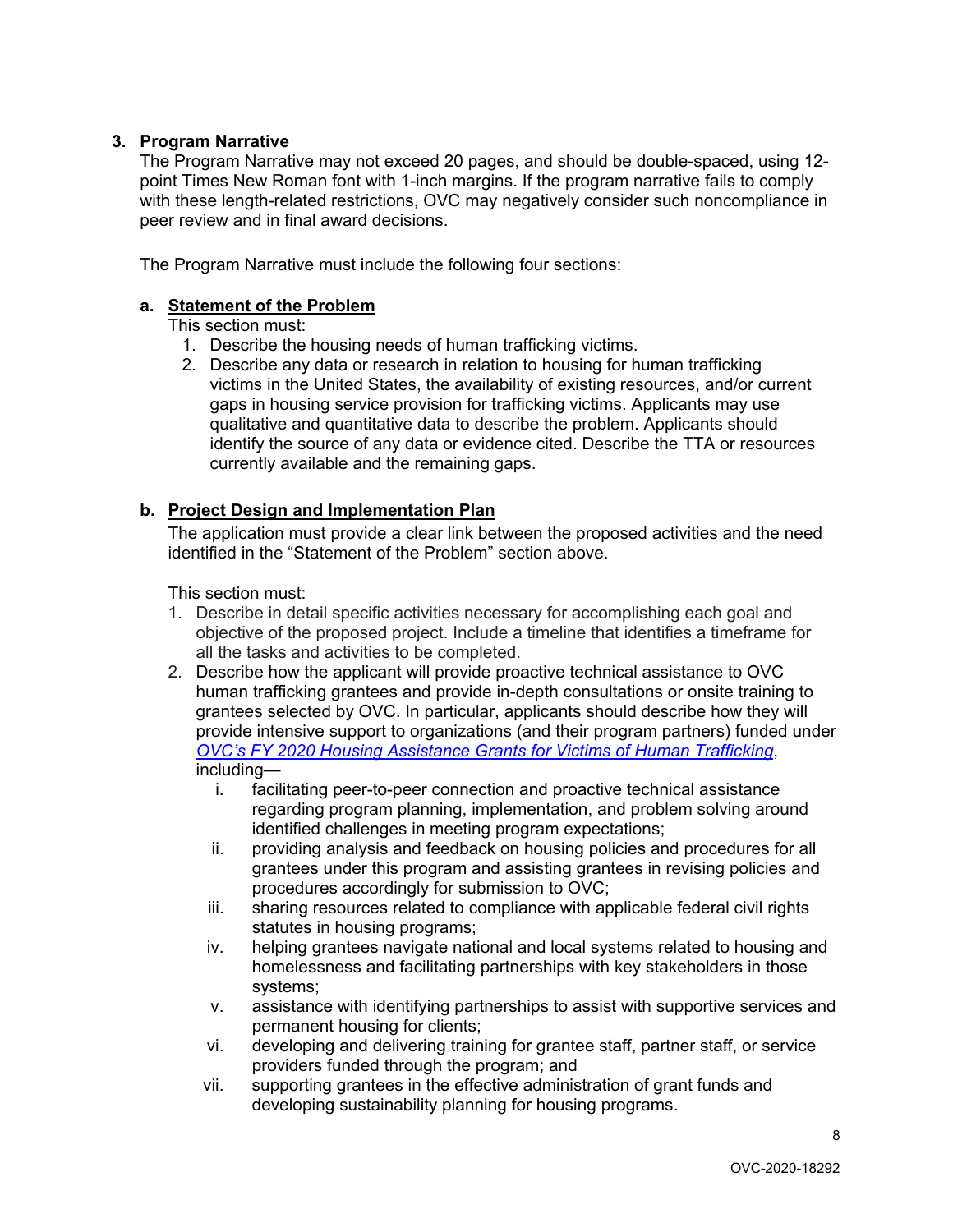# **3. Program Narrative**

The Program Narrative may not exceed 20 pages, and should be double-spaced, using 12 point Times New Roman font with 1-inch margins. If the program narrative fails to comply with these length-related restrictions, OVC may negatively consider such noncompliance in peer review and in final award decisions.

The Program Narrative must include the following four sections:

### **a. Statement of the Problem**

This section must:

- 1. Describe the housing needs of human trafficking victims.
- 2. Describe any data or research in relation to housing for human trafficking victims in the United States, the availability of existing resources, and/or current gaps in housing service provision for trafficking victims. Applicants may use qualitative and quantitative data to describe the problem. Applicants should identify the source of any data or evidence cited. Describe the TTA or resources currently available and the remaining gaps.

### **b. Project Design and Implementation Plan**

The application must provide a clear link between the proposed activities and the need identified in the "Statement of the Problem" section above.

This section must:

- 1. Describe in detail specific activities necessary for accomplishing each goal and objective of the proposed project. Include a timeline that identifies a timeframe for all the tasks and activities to be completed.
- 2. Describe how the applicant will provide proactive technical assistance to OVC human trafficking grantees and provide in-depth consultations or onsite training to grantees selected by OVC. In particular, applicants should describe how they will provide intensive support to organizations (and their program partners) funded under *[OVC's FY 2020 Housing Assistance Grants for Victims of Human Trafficking](https://www.ovc.gov/grants/pdftxt/FY-2020-Housing-Assistance-Grants-for-Victims-of-Human-Trafficking.pdf)*, including
	- i. facilitating peer-to-peer connection and proactive technical assistance regarding program planning, implementation, and problem solving around identified challenges in meeting program expectations;
	- ii. providing analysis and feedback on housing policies and procedures for all grantees under this program and assisting grantees in revising policies and procedures accordingly for submission to OVC;
	- iii. sharing resources related to compliance with applicable federal civil rights statutes in housing programs;
	- iv. helping grantees navigate national and local systems related to housing and homelessness and facilitating partnerships with key stakeholders in those systems;
	- v. assistance with identifying partnerships to assist with supportive services and permanent housing for clients;
	- vi. developing and delivering training for grantee staff, partner staff, or service providers funded through the program; and
	- vii. supporting grantees in the effective administration of grant funds and developing sustainability planning for housing programs.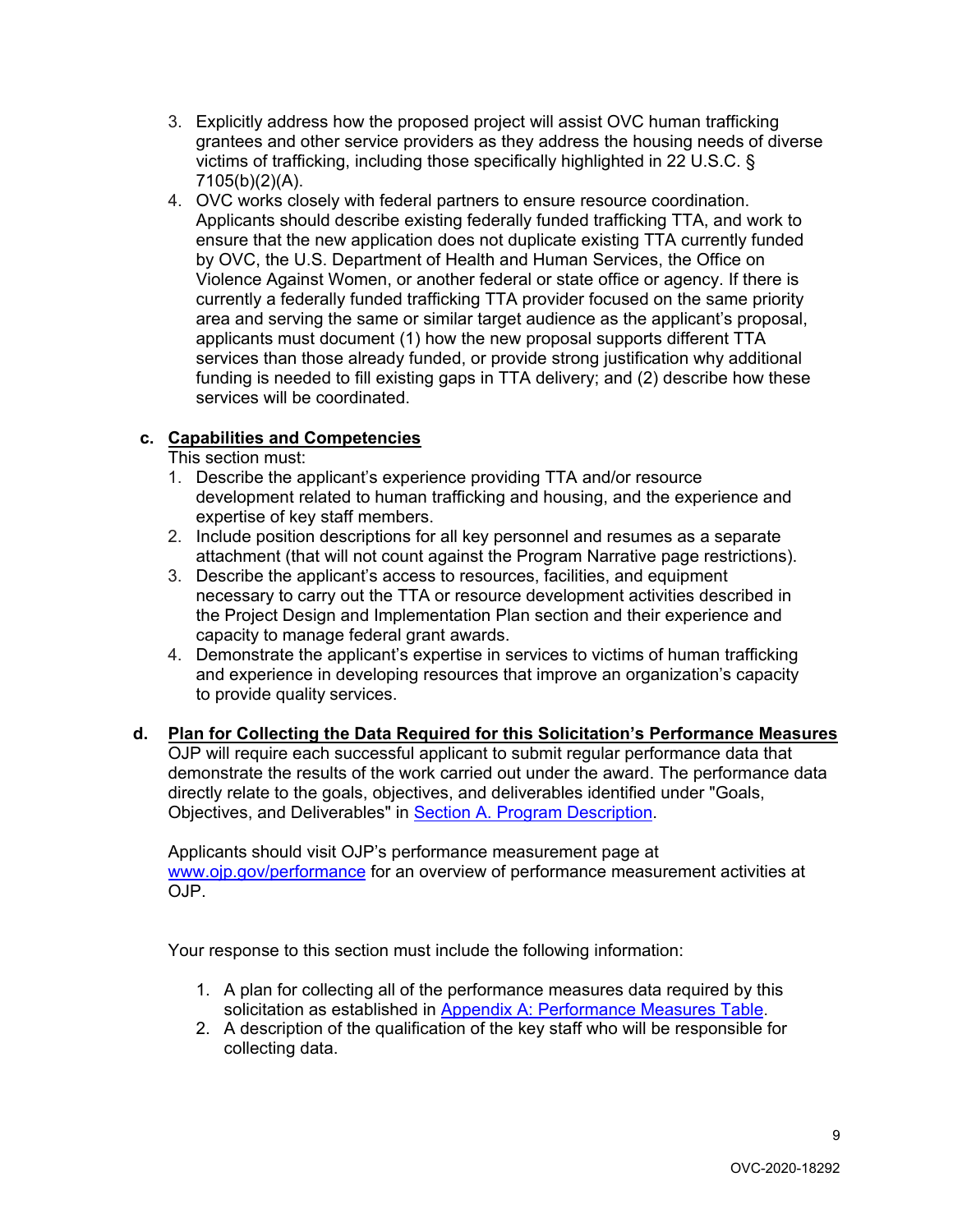- 3. Explicitly address how the proposed project will assist OVC human trafficking grantees and other service providers as they address the housing needs of diverse victims of trafficking, including those specifically highlighted in 22 U.S.C. § 7105(b)(2)(A).
- 4. OVC works closely with federal partners to ensure resource coordination. Applicants should describe existing federally funded trafficking TTA, and work to ensure that the new application does not duplicate existing TTA currently funded by OVC, the U.S. Department of Health and Human Services, the Office on Violence Against Women, or another federal or state office or agency. If there is currently a federally funded trafficking TTA provider focused on the same priority area and serving the same or similar target audience as the applicant's proposal, applicants must document (1) how the new proposal supports different TTA services than those already funded, or provide strong justification why additional funding is needed to fill existing gaps in TTA delivery; and (2) describe how these services will be coordinated.

# **c. Capabilities and Competencies**

- This section must:
- 1. Describe the applicant's experience providing TTA and/or resource development related to human trafficking and housing, and the experience and expertise of key staff members.
- 2. Include position descriptions for all key personnel and resumes as a separate attachment (that will not count against the Program Narrative page restrictions).
- 3. Describe the applicant's access to resources, facilities, and equipment necessary to carry out the TTA or resource development activities described in the Project Design and Implementation Plan section and their experience and capacity to manage federal grant awards.
- 4. Demonstrate the applicant's expertise in services to victims of human trafficking and experience in developing resources that improve an organization's capacity to provide quality services.
- **d. Plan for Collecting the Data Required for this Solicitation's Performance Measures** OJP will require each successful applicant to submit regular performance data that demonstrate the results of the work carried out under the award. The performance data directly relate to the goals, objectives, and deliverables identified under "Goals, Objectives, and Deliverables" in **Section A. Program Description.**

Applicants should visit OJP's performance measurement page at [www.ojp.gov/performance](https://www.ojp.gov/performance) for an overview of performance measurement activities at OJP.

Your response to this section must include the following information:

- 1. A plan for collecting all of the performance measures data required by this solicitation as established in [Appendix A: Performance Measures Table.](#page-13-0)
- 2. A description of the qualification of the key staff who will be responsible for collecting data.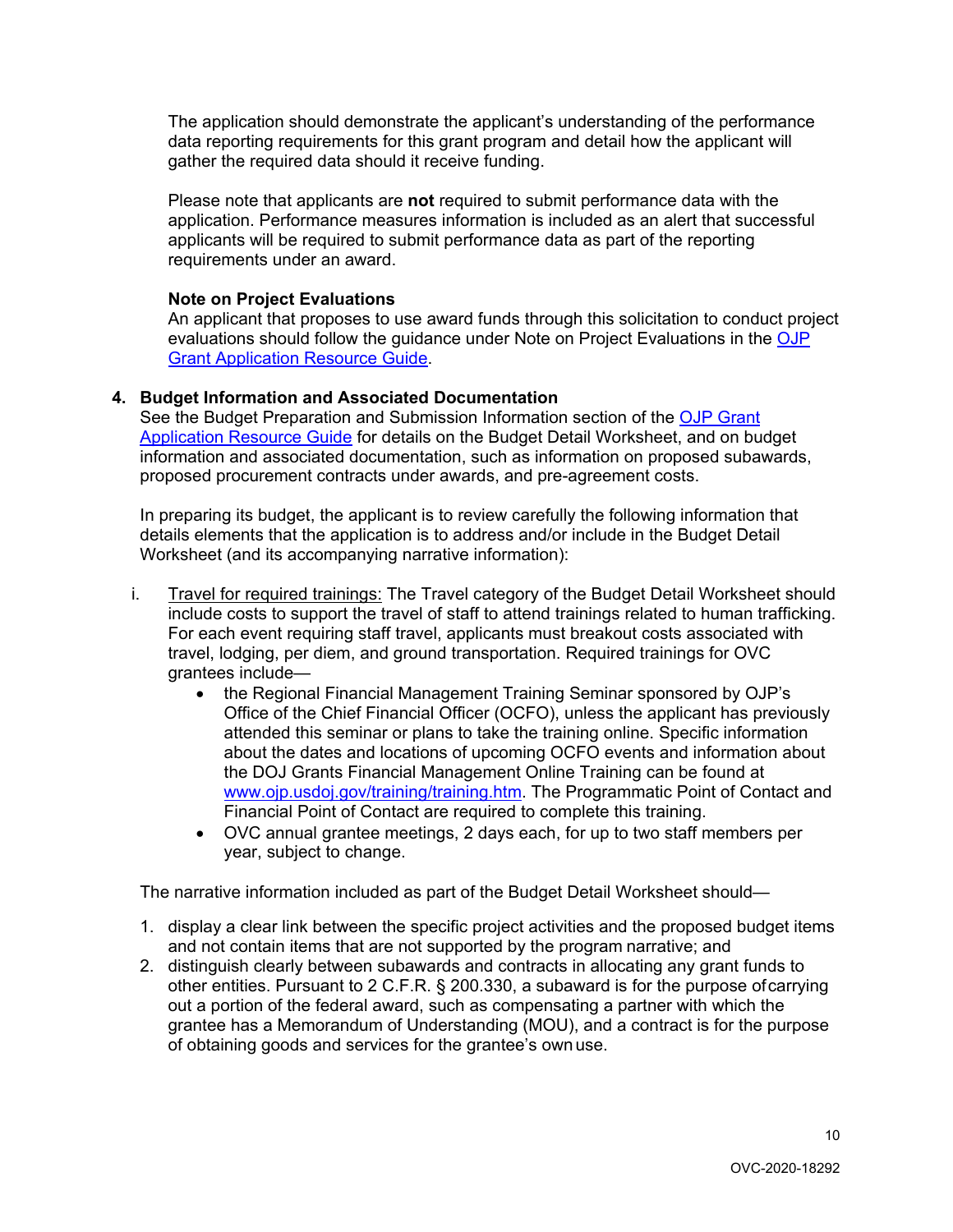The application should demonstrate the applicant's understanding of the performance data reporting requirements for this grant program and detail how the applicant will gather the required data should it receive funding.

Please note that applicants are **not** required to submit performance data with the application. Performance measures information is included as an alert that successful applicants will be required to submit performance data as part of the reporting requirements under an award.

# **Note on Project Evaluations**

An applicant that proposes to use award funds through this solicitation to conduct project evaluations should follow the guidance under Note on Project Evaluations in the [OJP](https://www.ojp.gov/funding/Apply/Resources/Grant-App-Resource-Guide.htm#projectEvaluation)  [Grant Application Resource Guide.](https://www.ojp.gov/funding/Apply/Resources/Grant-App-Resource-Guide.htm#projectEvaluation)

# **4. Budget Information and Associated Documentation**

See the Budget Preparation and Submission Information section of the [OJP Grant](https://www.ojp.gov/funding/Apply/Resources/Grant-App-Resource-Guide.htm#budgetInfo)  [Application Resource Guide](https://www.ojp.gov/funding/Apply/Resources/Grant-App-Resource-Guide.htm#budgetInfo) for details on the Budget Detail Worksheet, and on budget information and associated documentation, such as information on proposed subawards, proposed procurement contracts under awards, and pre-agreement costs.

In preparing its budget, the applicant is to review carefully the following information that details elements that the application is to address and/or include in the Budget Detail Worksheet (and its accompanying narrative information):

- i. Travel for required trainings: The Travel category of the Budget Detail Worksheet should include costs to support the travel of staff to attend trainings related to human trafficking. For each event requiring staff travel, applicants must breakout costs associated with travel, lodging, per diem, and ground transportation. Required trainings for OVC grantees include—
	- the Regional Financial Management Training Seminar sponsored by OJP's Office of the Chief Financial Officer (OCFO), unless the applicant has previously attended this seminar or plans to take the training online. Specific information about the dates and locations of upcoming OCFO events and information about the DOJ Grants Financial Management Online Training can be found at [www.ojp.usdoj.gov/training/training.htm.](http://www.ojp.usdoj.gov/training/training.htm) The Programmatic Point of Contact and Financial Point of Contact are required to complete this training.
	- OVC annual grantee meetings, 2 days each, for up to two staff members per year, subject to change.

The narrative information included as part of the Budget Detail Worksheet should—

- 1. display a clear link between the specific project activities and the proposed budget items and not contain items that are not supported by the program narrative; and
- 2. distinguish clearly between subawards and contracts in allocating any grant funds to other entities. Pursuant to 2 C.F.R. § 200.330, a subaward is for the purpose ofcarrying out a portion of the federal award, such as compensating a partner with which the grantee has a Memorandum of Understanding (MOU), and a contract is for the purpose of obtaining goods and services for the grantee's ownuse.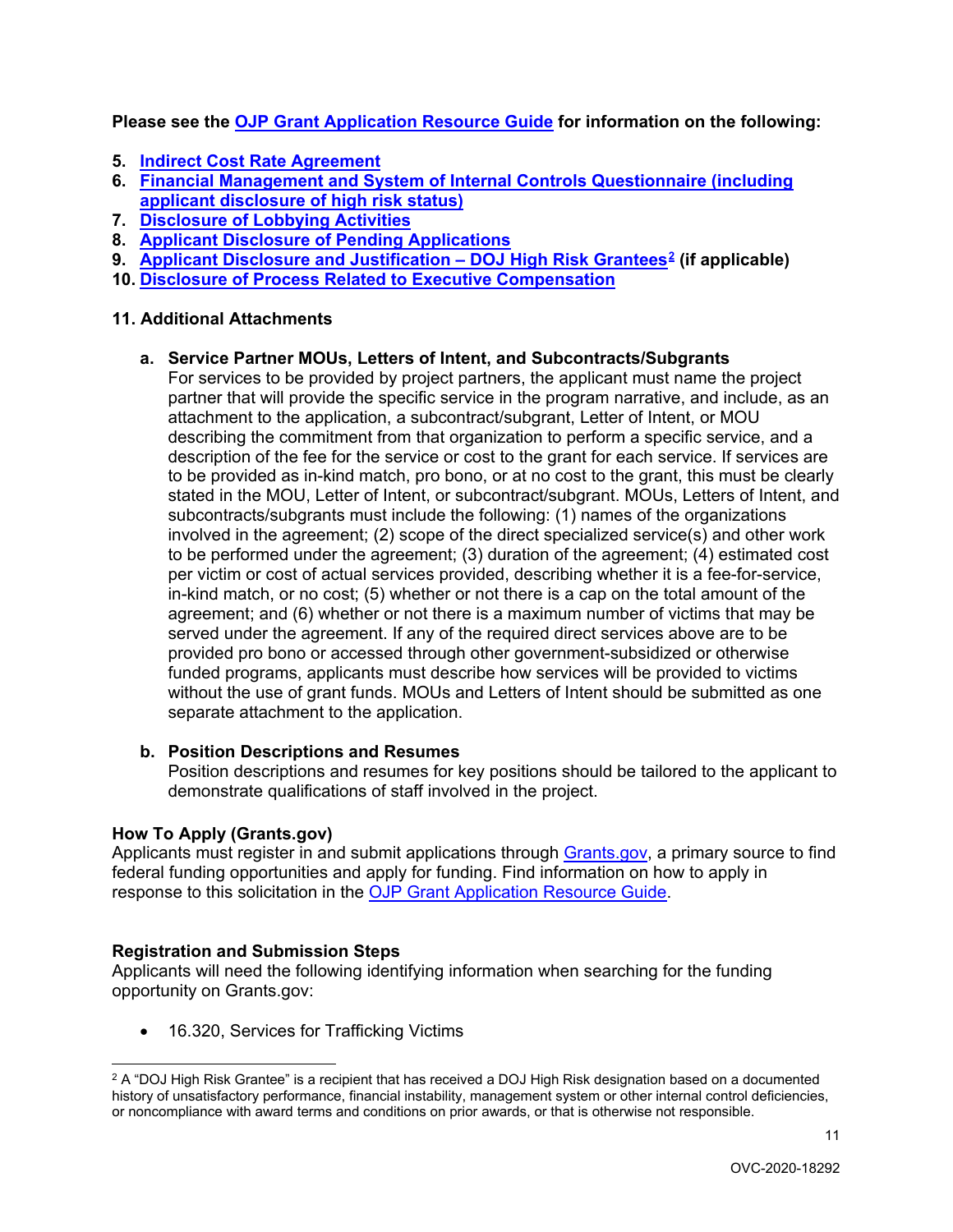**Please see the [OJP Grant Application Resource Guide](https://ojp.gov/funding/Apply/Resources/Grant-App-Resource-Guide.htm) for information on the following:**

- **5. [Indirect Cost Rate Agreement](https://www.ojp.gov/funding/Apply/Resources/Grant-App-Resource-Guide.htm#indirectCosts)**
- **6. [Financial Management and System of Internal Controls Questionnaire \(including](https://www.ojp.gov/funding/Apply/Resources/Grant-App-Resource-Guide.htm#internalControlsQuestionnaire)  [applicant disclosure of high risk status\)](https://www.ojp.gov/funding/Apply/Resources/Grant-App-Resource-Guide.htm#internalControlsQuestionnaire)**
- **7. [Disclosure of Lobbying Activities](https://www.ojp.gov/funding/Apply/Resources/Grant-App-Resource-Guide.htm#lobbyingActivity)**
- **8. [Applicant Disclosure of Pending Applications](https://www.ojp.gov/funding/Apply/Resources/Grant-App-Resource-Guide.htm#applicantDisclosure)**
- **9. [Applicant Disclosure and Justification –](https://www.ojp.gov/funding/Apply/Resources/Grant-App-Resource-Guide.htm#applicantDisclosureHR) DOJ High Risk Grantees[2](#page-10-1) (if applicable)**
- **10. [Disclosure of Process Related to Executive Compensation](https://www.ojp.gov/funding/Apply/Resources/Grant-App-Resource-Guide.htm#processDisclosure)**

# **11. Additional Attachments**

# **a. Service Partner MOUs, Letters of Intent, and Subcontracts/Subgrants**

For services to be provided by project partners, the applicant must name the project partner that will provide the specific service in the program narrative, and include, as an attachment to the application, a subcontract/subgrant, Letter of Intent, or MOU describing the commitment from that organization to perform a specific service, and a description of the fee for the service or cost to the grant for each service. If services are to be provided as in-kind match, pro bono, or at no cost to the grant, this must be clearly stated in the MOU, Letter of Intent, or subcontract/subgrant. MOUs, Letters of Intent, and subcontracts/subgrants must include the following: (1) names of the organizations involved in the agreement; (2) scope of the direct specialized service(s) and other work to be performed under the agreement; (3) duration of the agreement; (4) estimated cost per victim or cost of actual services provided, describing whether it is a fee-for-service, in-kind match, or no cost; (5) whether or not there is a cap on the total amount of the agreement; and (6) whether or not there is a maximum number of victims that may be served under the agreement. If any of the required direct services above are to be provided pro bono or accessed through other government-subsidized or otherwise funded programs, applicants must describe how services will be provided to victims without the use of grant funds. MOUs and Letters of Intent should be submitted as one separate attachment to the application.

### **b. Position Descriptions and Resumes**

Position descriptions and resumes for key positions should be tailored to the applicant to demonstrate qualifications of staff involved in the project.

### <span id="page-10-0"></span>**How To Apply (Grants.gov)**

Applicants must register in and submit applications through [Grants.gov,](https://www.grants.gov/) a primary source to find federal funding opportunities and apply for funding. Find information on how to apply in response to this solicitation in the [OJP Grant Application Resource Guide.](https://www.ojp.gov/funding/Apply/Resources/Grant-App-Resource-Guide.htm#howToApply)

### **Registration and Submission Steps**

Applicants will need the following identifying information when searching for the funding opportunity on Grants.gov:

• 16.320, Services for Trafficking Victims

<span id="page-10-1"></span> $2$  A "DOJ High Risk Grantee" is a recipient that has received a DOJ High Risk designation based on a documented history of unsatisfactory performance, financial instability, management system or other internal control deficiencies, or noncompliance with award terms and conditions on prior awards, or that is otherwise not responsible.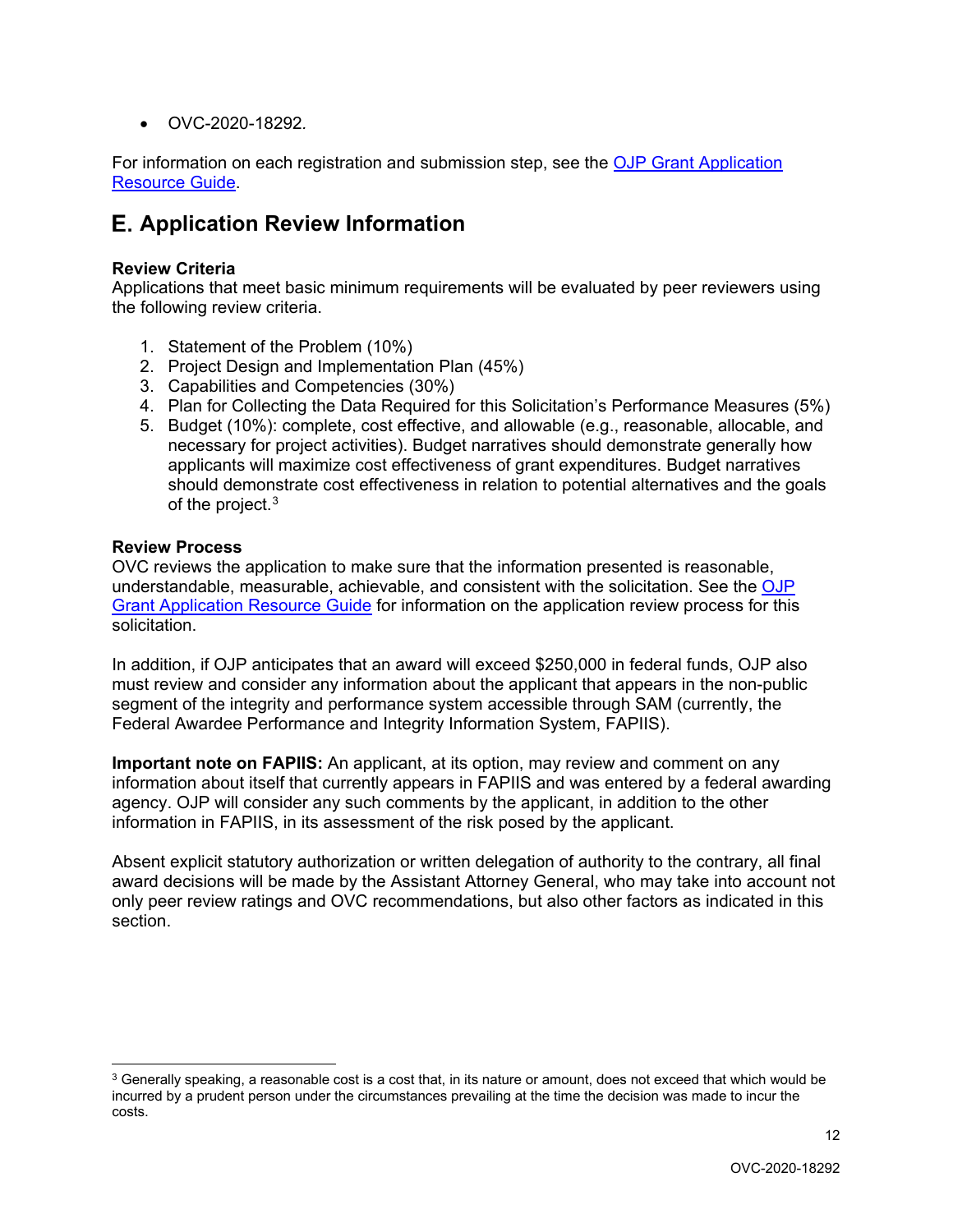• OVC-2020-18292*.*

For information on each registration and submission step, see the OJP Grant Application [Resource Guide.](https://www.ojp.gov/funding/Apply/Resources/Grant-App-Resource-Guide.htm#submissionSteps)

# <span id="page-11-0"></span>**Application Review Information**

# <span id="page-11-1"></span>**Review Criteria**

Applications that meet basic minimum requirements will be evaluated by peer reviewers using the following review criteria.

- 1. Statement of the Problem (10%)
- 2. Project Design and Implementation Plan (45%)
- 3. Capabilities and Competencies (30%)
- 4. Plan for Collecting the Data Required for this Solicitation's Performance Measures (5%)
- 5. Budget (10%): complete, cost effective, and allowable (e.g., reasonable, allocable, and necessary for project activities). Budget narratives should demonstrate generally how applicants will maximize cost effectiveness of grant expenditures. Budget narratives should demonstrate cost effectiveness in relation to potential alternatives and the goals of the project.<sup>[3](#page-11-3)</sup>

### <span id="page-11-2"></span>**Review Process**

OVC reviews the application to make sure that the information presented is reasonable, understandable, measurable, achievable, and consistent with the solicitation. See the [OJP](https://www.ojp.gov/funding/Apply/Resources/Grant-App-Resource-Guide.htm#applicationReview)  Grant [Application Resource Guide](https://www.ojp.gov/funding/Apply/Resources/Grant-App-Resource-Guide.htm#applicationReview) for information on the application review process for this solicitation.

In addition, if OJP anticipates that an award will exceed \$250,000 in federal funds, OJP also must review and consider any information about the applicant that appears in the non-public segment of the integrity and performance system accessible through SAM (currently, the Federal Awardee Performance and Integrity Information System, FAPIIS).

**Important note on FAPIIS:** An applicant, at its option, may review and comment on any information about itself that currently appears in FAPIIS and was entered by a federal awarding agency. OJP will consider any such comments by the applicant, in addition to the other information in FAPIIS, in its assessment of the risk posed by the applicant.

Absent explicit statutory authorization or written delegation of authority to the contrary, all final award decisions will be made by the Assistant Attorney General, who may take into account not only peer review ratings and OVC recommendations, but also other factors as indicated in this section.

<span id="page-11-3"></span> $3$  Generally speaking, a reasonable cost is a cost that, in its nature or amount, does not exceed that which would be incurred by a prudent person under the circumstances prevailing at the time the decision was made to incur the costs.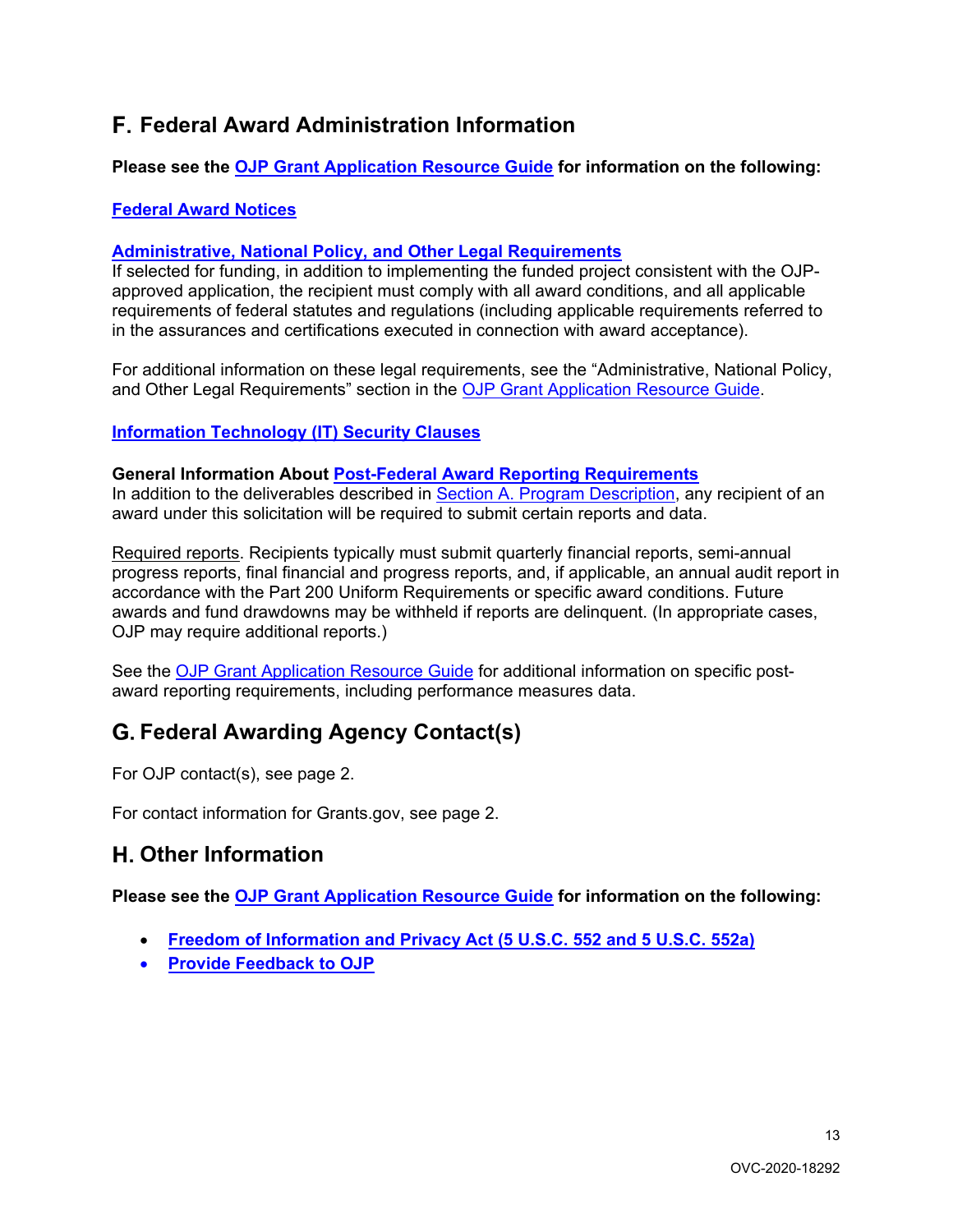# <span id="page-12-0"></span>**Federal Award Administration Information**

**Please see the [OJP Grant Application Resource Guide](https://ojp.gov/funding/Apply/Resources/Grant-App-Resource-Guide.htm) for information on the following:**

# <span id="page-12-1"></span>**[Federal Award Notices](https://www.ojp.gov/funding/Apply/Resources/Grant-App-Resource-Guide.htm#awardNotices)**

# <span id="page-12-2"></span>**[Administrative, National Policy, and Other Legal Requirements](https://www.ojp.gov/funding/Apply/Resources/Grant-App-Resource-Guide.htm#otherLegalRequirements)**

If selected for funding, in addition to implementing the funded project consistent with the OJPapproved application, the recipient must comply with all award conditions, and all applicable requirements of federal statutes and regulations (including applicable requirements referred to in the assurances and certifications executed in connection with award acceptance).

For additional information on these legal requirements, see the "Administrative, National Policy, and Other Legal Requirements" section in the [OJP Grant Application Resource Guide.](https://www.ojp.gov/funding/Apply/Resources/Grant-App-Resource-Guide.htm#otherLegalRequirements)

# <span id="page-12-3"></span>**[Information Technology \(IT\) Security Clauses](https://www.ojp.gov/funding/Apply/Resources/Grant-App-Resource-Guide.htm#securityClauses)**

### <span id="page-12-4"></span>**General Information About [Post-Federal Award Reporting Requirements](https://www.ojp.gov/funding/Apply/Resources/Grant-App-Resource-Guide.htm#awardReportingRequirements)**

In addition to the deliverables described in Section A. Program Description, any recipient of an award under this solicitation will be required to submit certain reports and data.

Required reports. Recipients typically must submit quarterly financial reports, semi-annual progress reports, final financial and progress reports, and, if applicable, an annual audit report in accordance with the Part 200 Uniform Requirements or specific award conditions. Future awards and fund drawdowns may be withheld if reports are delinquent. (In appropriate cases, OJP may require additional reports.)

See the [OJP Grant Application Resource Guide](https://www.ojp.gov/funding/Apply/Resources/Grant-App-Resource-Guide.htm#awardReportingRequirements) for additional information on specific postaward reporting requirements, including performance measures data.

# <span id="page-12-5"></span>**Federal Awarding Agency Contact(s)**

For OJP contact(s), see page 2.

<span id="page-12-6"></span>For contact information for Grants.gov, see page 2.

# **Other Information**

**Please see the [OJP Grant Application Resource Guide](https://ojp.gov/funding/Apply/Resources/Grant-App-Resource-Guide.htm) for information on the following:**

- <span id="page-12-7"></span>• **[Freedom of Information and Privacy Act \(5 U.S.C. 552 and 5 U.S.C. 552a\)](https://www.ojp.gov/funding/Apply/Resources/Grant-App-Resource-Guide.htm#foia)**
- <span id="page-12-8"></span>• **[Provide Feedback to OJP](https://www.ojp.gov/funding/Apply/Resources/Grant-App-Resource-Guide.htm#feedback)**

13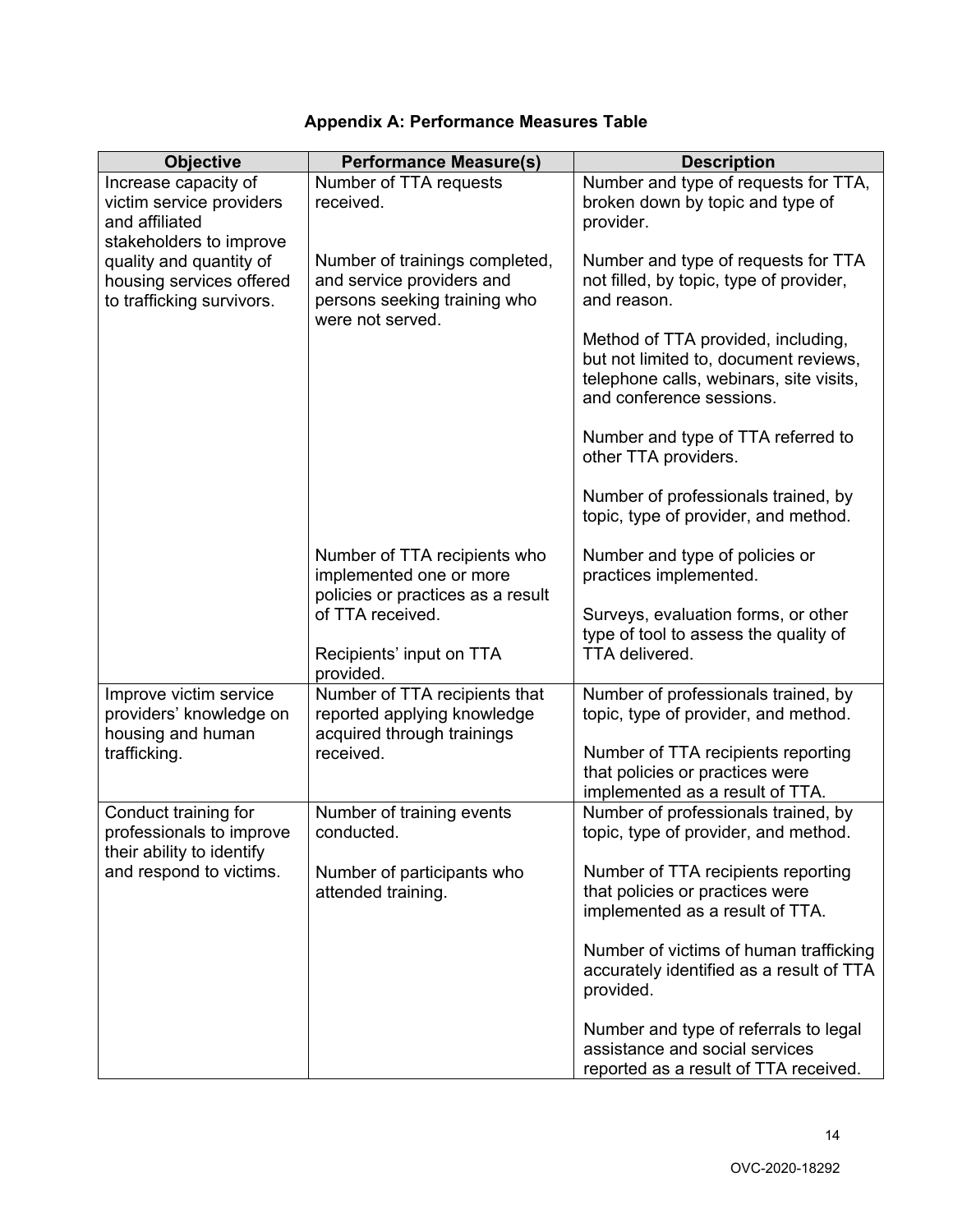<span id="page-13-0"></span>

| <b>Objective</b>                                                                              | <b>Performance Measure(s)</b>                                                                                   | <b>Description</b>                                                                                                                                 |
|-----------------------------------------------------------------------------------------------|-----------------------------------------------------------------------------------------------------------------|----------------------------------------------------------------------------------------------------------------------------------------------------|
|                                                                                               |                                                                                                                 |                                                                                                                                                    |
| Increase capacity of<br>victim service providers<br>and affiliated<br>stakeholders to improve | Number of TTA requests<br>received.                                                                             | Number and type of requests for TTA,<br>broken down by topic and type of<br>provider.                                                              |
| quality and quantity of<br>housing services offered<br>to trafficking survivors.              | Number of trainings completed,<br>and service providers and<br>persons seeking training who<br>were not served. | Number and type of requests for TTA<br>not filled, by topic, type of provider,<br>and reason.                                                      |
|                                                                                               |                                                                                                                 | Method of TTA provided, including,<br>but not limited to, document reviews,<br>telephone calls, webinars, site visits,<br>and conference sessions. |
|                                                                                               |                                                                                                                 | Number and type of TTA referred to<br>other TTA providers.                                                                                         |
|                                                                                               |                                                                                                                 | Number of professionals trained, by<br>topic, type of provider, and method.                                                                        |
|                                                                                               | Number of TTA recipients who<br>implemented one or more<br>policies or practices as a result                    | Number and type of policies or<br>practices implemented.                                                                                           |
|                                                                                               | of TTA received.<br>Recipients' input on TTA                                                                    | Surveys, evaluation forms, or other<br>type of tool to assess the quality of<br>TTA delivered.                                                     |
|                                                                                               | provided.                                                                                                       |                                                                                                                                                    |
| Improve victim service<br>providers' knowledge on<br>housing and human                        | Number of TTA recipients that<br>reported applying knowledge<br>acquired through trainings                      | Number of professionals trained, by<br>topic, type of provider, and method.                                                                        |
| trafficking.                                                                                  | received.                                                                                                       | Number of TTA recipients reporting<br>that policies or practices were<br>implemented as a result of TTA.                                           |
| Conduct training for<br>professionals to improve<br>their ability to identify                 | Number of training events<br>conducted.                                                                         | Number of professionals trained, by<br>topic, type of provider, and method.                                                                        |
| and respond to victims.                                                                       | Number of participants who<br>attended training.                                                                | Number of TTA recipients reporting<br>that policies or practices were<br>implemented as a result of TTA.                                           |
|                                                                                               |                                                                                                                 | Number of victims of human trafficking<br>accurately identified as a result of TTA<br>provided.                                                    |
|                                                                                               |                                                                                                                 | Number and type of referrals to legal<br>assistance and social services<br>reported as a result of TTA received.                                   |

# **Appendix A: Performance Measures Table**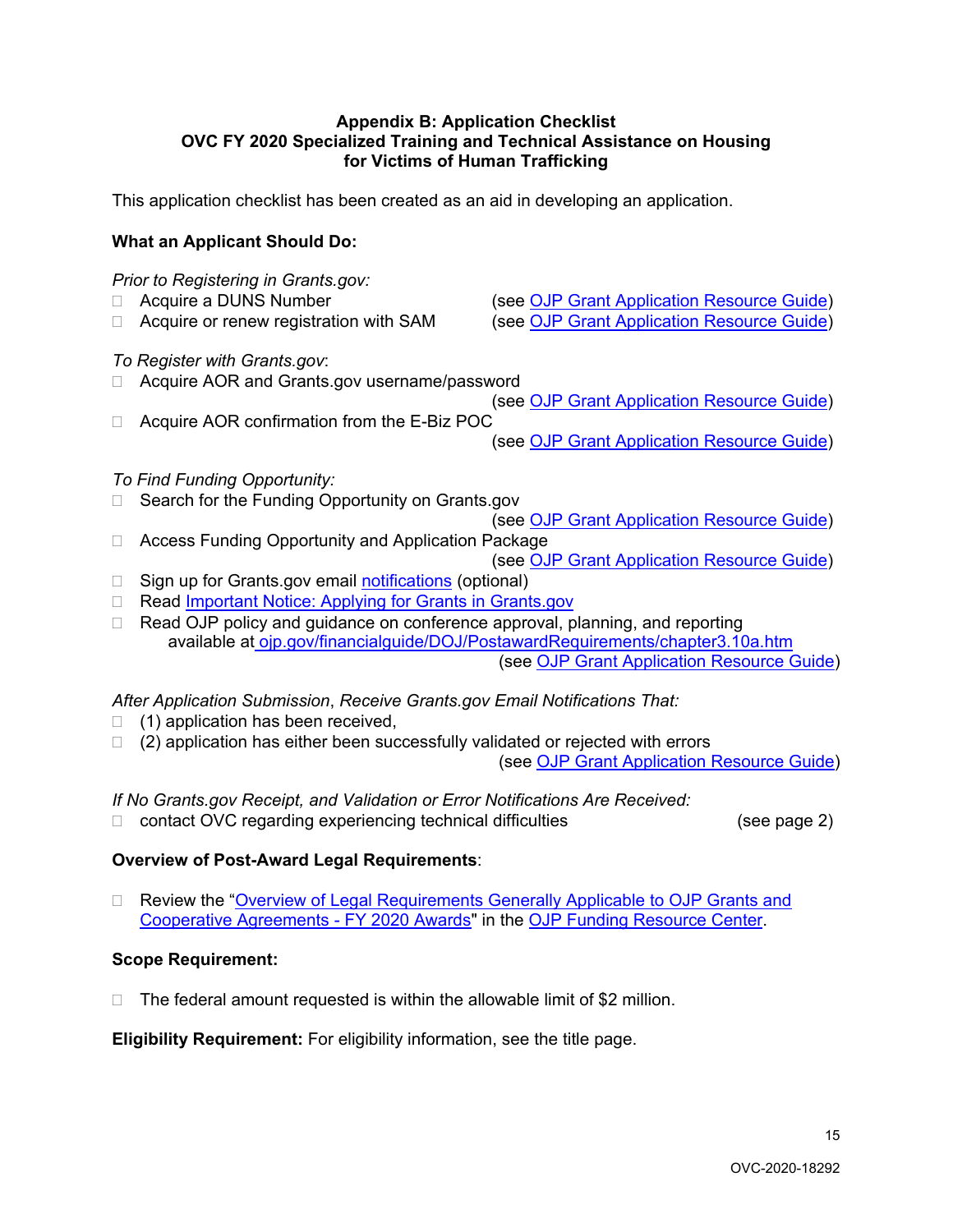#### <span id="page-14-0"></span>**Appendix B: Application Checklist OVC FY 2020 Specialized Training and Technical Assistance on Housing for Victims of Human Trafficking**

This application checklist has been created as an aid in developing an application.

# **What an Applicant Should Do:**

# *Prior to Registering in Grants.gov:* □ Acquire a DUNS Number (see [OJP Grant Application Resource Guide\)](https://www.ojp.gov/funding/Apply/Resources/Grant-App-Resource-Guide.htm#howToApply) □ Acquire or renew registration with SAM (see [OJP Grant Application Resource Guide\)](https://www.ojp.gov/funding/Apply/Resources/Grant-App-Resource-Guide.htm#howToApply) *To Register with Grants.gov*: □ Acquire AOR and Grants.gov username/password (see [OJP Grant Application Resource Guide\)](https://www.ojp.gov/funding/Apply/Resources/Grant-App-Resource-Guide.htm#howToApply) □ Acquire AOR confirmation from the E-Biz POC (see [OJP Grant Application Resource Guide\)](https://www.ojp.gov/funding/Apply/Resources/Grant-App-Resource-Guide.htm#howToApply) *To Find Funding Opportunity:* □ Search for the Funding Opportunity on Grants.gov (see [OJP Grant Application Resource Guide\)](https://www.ojp.gov/funding/Apply/Resources/Grant-App-Resource-Guide.htm#howToApply) □ Access Funding Opportunity and Application Package (see [OJP Grant Application Resource Guide\)](https://www.ojp.gov/funding/Apply/Resources/Grant-App-Resource-Guide.htm#howToApply) □ Sign up for Grants.gov email [notifications](https://www.grants.gov/web/grants/manage-subscriptions.html) (optional) □ Read [Important Notice: Applying for Grants in Grants.gov](https://ojp.gov/funding/Apply/Grants-govInfo.htm) □ Read OJP policy and guidance on conference approval, planning, and reporting available at [ojp.gov/financialguide/DOJ/PostawardRequirements/chapter3.10a.htm](https://ojp.gov/financialguide/DOJ/PostawardRequirements/chapter3.10a.htm) (see [OJP Grant Application Resource Guide\)](https://www.ojp.gov/funding/Apply/Resources/Grant-App-Resource-Guide.htm#reportingCosts) *After Application Submission*, *Receive Grants.gov Email Notifications That:*

- $\Box$  (1) application has been received,
- $\Box$  (2) application has either been successfully validated or rejected with errors

(see [OJP Grant Application Resource Guide\)](https://www.ojp.gov/funding/Apply/Resources/Grant-App-Resource-Guide.htm#submissionSteps)

*If No Grants.gov Receipt, and Validation or Error Notifications Are Received:*

 $\Box$  contact OVC regarding experiencing technical difficulties  $($ see page 2)

# **Overview of Post-Award Legal Requirements**:

□ Review the "Overview of Legal Requirements Generally Applicable to OJP Grants and [Cooperative Agreements -](https://ojp.gov/funding/Explore/LegalOverview2020/index.htm) FY 2020 Awards" in the [OJP Funding Resource Center.](https://www.ojp.gov/funding/index.htm)

# **Scope Requirement:**

 $\Box$  The federal amount requested is within the allowable limit of \$2 million.

**Eligibility Requirement:** For eligibility information, see the title page.